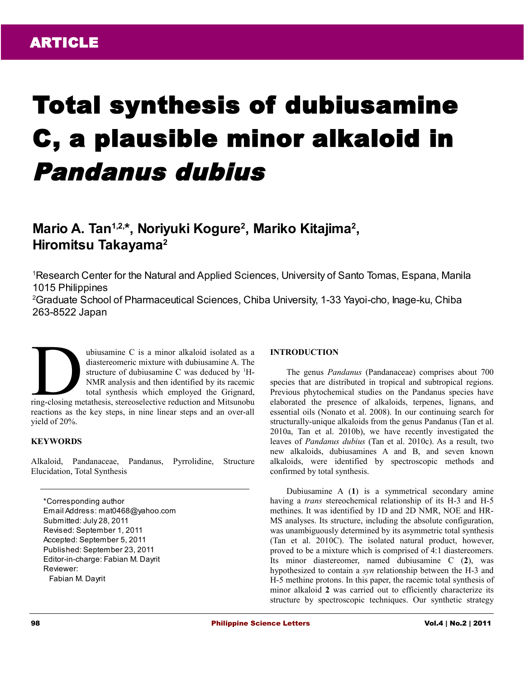# Total synthesis of dubiusamine C, a plausible minor alkaloid in Pandanus dubius

# **Mario A. Tan1,2,\*, Noriyuki Kogure<sup>2</sup> , Mariko Kitajima<sup>2</sup> , Hiromitsu Takayama<sup>2</sup>**

<sup>1</sup>Research Center for the Natural and Applied Sciences, University of Santo Tomas, Espana, Manila 1015 Philippines

<sup>2</sup>Graduate School of Pharmaceutical Sciences, Chiba University, 1-33 Yayoi-cho, Inage-ku, Chiba 263-8522 Japan

ubiusamine C is a minor alkaloid isolated as a diastereomeric mixture with dubiusamine A. The structure of dubiusamine C was deduced by  ${}^{1}$ H-NMR analysis and then identified by its racemic total synthesis which employed the Grignard, ubiusamine C is a minor alkaloid isolated as a diastereomeric mixture with dubiusamine A. The structure of dubiusamine C was deduced by <sup>1</sup>H-NMR analysis and then identified by its racemic total synthesis which employed th reactions as the key steps, in nine linear steps and an over-all yield of 20%.

# **KEYWORDS**

Alkaloid, Pandanaceae, Pandanus, Pyrrolidine, Structure Elucidation, Total Synthesis

\*Corresponding author Email Address: mat0468@yahoo.com Submitted: July 28, 2011 Revised: September 1, 2011 Accepted: September 5, 2011 Published: September 23, 2011 Editor-in-charge: Fabian M. Dayrit Reviewer: Fabian M. Dayrit

#### **INTRODUCTION**

The genus *Pandanus* (Pandanaceae) comprises about 700 species that are distributed in tropical and subtropical regions. Previous phytochemical studies on the Pandanus species have elaborated the presence of alkaloids, terpenes, lignans, and essential oils (Nonato et al. 2008). In our continuing search for structurally-unique alkaloids from the genus Pandanus (Tan et al. 2010a, Tan et al. 2010b), we have recently investigated the leaves of *Pandanus dubius* (Tan et al. 2010c). As a result, two new alkaloids, dubiusamines A and B, and seven known alkaloids, were identified by spectroscopic methods and confirmed by total synthesis.

Dubiusamine A (**1**) is a symmetrical secondary amine having a *trans* stereochemical relationship of its H-3 and H-5 methines. It was identified by 1D and 2D NMR, NOE and HR-MS analyses. Its structure, including the absolute configuration, was unambiguously determined by its asymmetric total synthesis (Tan et al. 2010C). The isolated natural product, however, proved to be a mixture which is comprised of 4:1 diastereomers. Its minor diastereomer, named dubiusamine C (**2**), was hypothesized to contain a *syn* relationship between the H-3 and H-5 methine protons. In this paper, the racemic total synthesis of minor alkaloid **2** was carried out to efficiently characterize its structure by spectroscopic techniques. Our synthetic strategy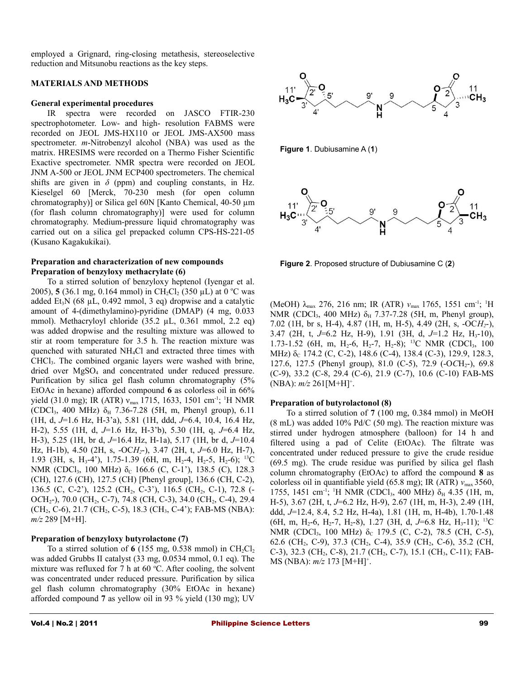employed a Grignard, ring-closing metathesis, stereoselective reduction and Mitsunobu reactions as the key steps.

#### **MATERIALS AND METHODS**

#### **General experimental procedures**

IR spectra were recorded on JASCO FTIR-230 spectrophotometer. Low- and high- resolution FABMS were recorded on JEOL JMS-HX110 or JEOL JMS-AX500 mass spectrometer. *m*-Nitrobenzyl alcohol (NBA) was used as the matrix. HRESIMS were recorded on a Thermo Fisher Scientific Exactive spectrometer. NMR spectra were recorded on JEOL JNM A-500 or JEOL JNM ECP400 spectrometers. The chemical shifts are given in  $\delta$  (ppm) and coupling constants, in Hz. Kieselgel 60 [Merck, 70-230 mesh (for open column chromatography)] or Silica gel 60N [Kanto Chemical, 40-50 µm (for flash column chromatography)] were used for column chromatography. Medium-pressure liquid chromatography was carried out on a silica gel prepacked column CPS-HS-221-05 (Kusano Kagakukikai).

### **Preparation and characterization of new compounds Preparation of benzyloxy methacrylate (6)**

To a stirred solution of benzyloxy heptenol (Iyengar et al. 2005), **5** (36.1 mg, 0.164 mmol) in CH<sub>2</sub>Cl<sub>2</sub> (350 µL) at 0 °C was added Et<sub>3</sub>N (68  $\mu$ L, 0.492 mmol, 3 eq) dropwise and a catalytic amount of 4-(dimethylamino)-pyridine (DMAP) (4 mg, 0.033 mmol). Methacryloyl chloride (35.2 µL, 0.361 mmol, 2.2 eq) was added dropwise and the resulting mixture was allowed to stir at room temperature for 3.5 h. The reaction mixture was quenched with saturated NH4Cl and extracted three times with CHCl3. The combined organic layers were washed with brine, dried over MgSO4 and concentrated under reduced pressure. Purification by silica gel flash column chromatography (5% EtOAc in hexane) afforded compound **6** as colorless oil in 66% yield (31.0 mg); IR (ATR)  $v_{\text{max}}$  1715, 1633, 1501 cm<sup>-1</sup>; <sup>1</sup>H NMR (CDCl<sub>3</sub>, 400 MHz)  $\delta_H$  7.36-7.28 (5H, m, Phenyl group), 6.11 (1H, d, *J*=1.6 Hz, H-3'a), 5.81 (1H, ddd, *J*=6.4, 10.4, 16.4 Hz, H-2), 5.55 (1H, d, *J*=1.6 Hz, H-3'b), 5.30 (1H, q, *J*=6.4 Hz, H-3), 5.25 (1H, br d, *J*=16.4 Hz, H-1a), 5.17 (1H, br d, *J*=10.4 Hz, H-1b), 4.50 (2H, s, -OC*H2*-), 3.47 (2H, t, *J*=6.0 Hz, H-7), 1.93 (3H, s, H<sub>3</sub>-4'), 1.75-1.39 (6H, m, H<sub>2</sub>-4, H<sub>2</sub>-5, H<sub>2</sub>-6); <sup>13</sup>C NMR (CDCl<sub>3</sub>, 100 MHz)  $\delta_c$  166.6 (C, C-1'), 138.5 (C), 128.3 (CH), 127.6 (CH), 127.5 (CH) [Phenyl group], 136.6 (CH, C-2), 136.5 (C, C-2'), 125.2 (CH<sub>2</sub>, C-3'), 116.5 (CH<sub>2</sub>, C-1), 72.8 (-OCH<sub>2</sub>-), 70.0 (CH<sub>2</sub>, C-7), 74.8 (CH, C-3), 34.0 (CH<sub>2</sub>, C-4), 29.4 (CH<sub>2</sub>, C-6), 21.7 (CH<sub>2</sub>, C-5), 18.3 (CH<sub>3</sub>, C-4'); FAB-MS (NBA): *m/z* 289 [M+H].

# **Preparation of benzyloxy butyrolactone (7)**

To a stirred solution of  $6$  (155 mg, 0.538 mmol) in CH<sub>2</sub>Cl<sub>2</sub> was added Grubbs II catalyst (33 mg, 0.0534 mmol, 0.1 eq). The mixture was refluxed for 7 h at 60  $\degree$ C. After cooling, the solvent was concentrated under reduced pressure. Purification by silica gel flash column chromatography (30% EtOAc in hexane) afforded compound **7** as yellow oil in 93 % yield (130 mg); UV



**Figure 1**. Dubiusamine A (**1**)



**Figure 2**. Proposed structure of Dubiusamine C (**2**)

(MeOH) λmax 276, 216 nm; IR (ATR) *ν*max 1765, 1551 cm-1; <sup>1</sup>H NMR (CDCl<sub>3</sub>, 400 MHz) δ<sub>H</sub> 7.37-7.28 (5H, m, Phenyl group), 7.02 (1H, br s, H-4), 4.87 (1H, m, H-5), 4.49 (2H, s, -OC*H2*-), 3.47 (2H, t, J=6.2 Hz, H-9), 1.91 (3H, d, J=1.2 Hz, H<sub>3</sub>-10), 1.73-1.52 (6H, m, H<sub>2</sub>-6, H<sub>2</sub>-7, H<sub>2</sub>-8); <sup>13</sup>C NMR (CDCl<sub>3</sub>, 100 MHz) δ<sub>C</sub> 174.2 (C, C-2), 148.6 (C-4), 138.4 (C-3), 129.9, 128.3, 127.6, 127.5 (Phenyl group), 81.0 (C-5), 72.9 (-OCH<sub>2</sub>-), 69.8 (C-9), 33.2 (C-8, 29.4 (C-6), 21.9 (C-7), 10.6 (C-10) FAB-MS (NBA):  $m/z$  261[M+H]<sup>+</sup>.

# **Preparation of butyrolactonol (8)**

To a stirred solution of **7** (100 mg, 0.384 mmol) in MeOH  $(8 \text{ mL})$  was added 10% Pd/C  $(50 \text{ mg})$ . The reaction mixture was stirred under hydrogen atmosphere (balloon) for 14 h and filtered using a pad of Celite (EtOAc). The filtrate was concentrated under reduced pressure to give the crude residue (69.5 mg). The crude residue was purified by silica gel flash column chromatography (EtOAc) to afford the compound **8** as colorless oil in quantifiable yield (65.8 mg); IR (ATR) *ν*<sub>max</sub> 3560, 1755, 1451 cm<sup>-1</sup>; <sup>1</sup>H NMR (CDCl<sub>3</sub>, 400 MHz)  $\delta_H$  4.35 (1H, m, H-5), 3.67 (2H, t, *J*=6.2 Hz, H-9), 2.67 (1H, m, H-3), 2.49 (1H, ddd, *J*=12.4, 8.4, 5.2 Hz, H-4a), 1.81 (1H, m, H-4b), 1.70-1.48 (6H, m, H<sub>2</sub>-6, H<sub>2</sub>-7, H<sub>2</sub>-8), 1.27 (3H, d, J=6.8 Hz, H<sub>3</sub>-11); <sup>13</sup>C NMR (CDCl<sub>3</sub>, 100 MHz)  $\delta_c$  179.5 (C, C-2), 78.5 (CH, C-5), 62.6 (CH<sub>2</sub>, C-9), 37.3 (CH<sub>2</sub>, C-4), 35.9 (CH<sub>2</sub>, C-6), 35.2 (CH<sub>2</sub>, C-3), 32.3 (CH<sub>2</sub>, C-8), 21.7 (CH<sub>2</sub>, C-7), 15.1 (CH<sub>3</sub>, C-11); FAB-MS (NBA): *m/z* 173 [M+H]<sup>+</sup> .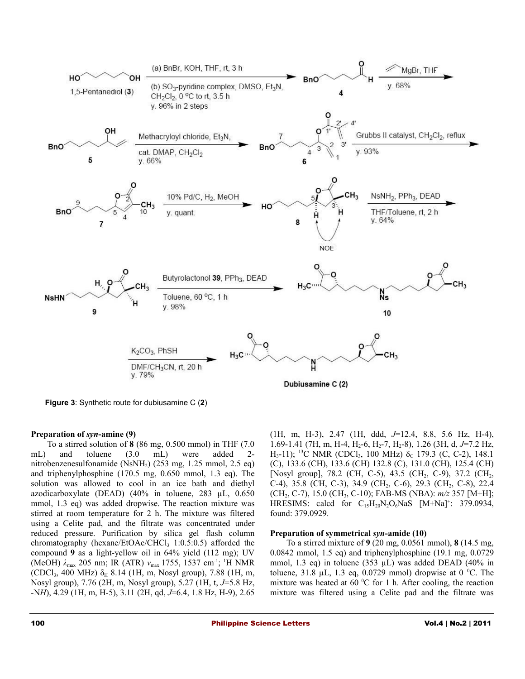

**Figure 3**: Synthetic route for dubiusamine C (**2**)

# **Preparation of** *syn***-amine (9)**

To a stirred solution of **8** (86 mg, 0.500 mmol) in THF (7.0 mL) and toluene (3.0 mL) were added 2 nitrobenzenesulfonamide (NsNH<sub>2</sub>) (253 mg, 1.25 mmol, 2.5 eq) and triphenylphosphine (170.5 mg, 0.650 mmol, 1.3 eq). The solution was allowed to cool in an ice bath and diethyl azodicarboxylate (DEAD) (40% in toluene, 283 µL, 0.650 mmol, 1.3 eq) was added dropwise. The reaction mixture was stirred at room temperature for 2 h. The mixture was filtered using a Celite pad, and the filtrate was concentrated under reduced pressure. Purification by silica gel flash column chromatography (hexane/EtOAc/CHCl $_3$  1:0.5:0.5) afforded the compound **9** as a light-yellow oil in 64% yield (112 mg); UV (MeOH) *λ*max 205 nm; IR (ATR) *ν*max 1755, 1537 cm-1; <sup>1</sup>H NMR (CDCl<sub>3</sub>, 400 MHz)  $\delta_H$  8.14 (1H, m, Nosyl group), 7.88 (1H, m, Nosyl group), 7.76 (2H, m, Nosyl group), 5.27 (1H, t, *J*=5.8 Hz, -N*H*), 4.29 (1H, m, H-5), 3.11 (2H, qd, *J*=6.4, 1.8 Hz, H-9), 2.65 (1H, m, H-3), 2.47 (1H, ddd, *J*=12.4, 8.8, 5.6 Hz, H-4), 1.69-1.41 (7H, m, H-4, H<sub>2</sub>-6, H<sub>2</sub>-7, H<sub>2</sub>-8), 1.26 (3H, d, J=7.2 Hz, H<sub>3</sub>-11); <sup>13</sup>C NMR (CDCl<sub>3</sub>, 100 MHz)  $\delta_c$  179.3 (C, C-2), 148.1 (C), 133.6 (CH), 133.6 (CH) 132.8 (C), 131.0 (CH), 125.4 (CH) [Nosyl group], 78.2 (CH, C-5), 43.5 (CH<sub>2</sub>, C-9), 37.2 (CH<sub>2</sub>, C-4), 35.8 (CH, C-3), 34.9 (CH<sub>2</sub>, C-6), 29.3 (CH<sub>2</sub>, C-8), 22.4 (CH2, C-7), 15.0 (CH3, C-10); FAB-MS (NBA): *m/z* 357 [M+H]; HRESIMS: calcd for  $C_{15}H_{20}N_2O_6NaS$  [M+Na]<sup>+</sup>: 379.0934, found: 379.0929.

#### **Preparation of symmetrical** *syn***-amide (10)**

To a stirred mixture of **9** (20 mg, 0.0561 mmol), **8** (14.5 mg, 0.0842 mmol, 1.5 eq) and triphenylphosphine (19.1 mg, 0.0729 mmol, 1.3 eq) in toluene (353  $\mu$ L) was added DEAD (40% in toluene, 31.8  $\mu$ L, 1.3 eq, 0.0729 mmol) dropwise at 0 °C. The mixture was heated at 60  $\rm{^0C}$  for 1 h. After cooling, the reaction mixture was filtered using a Celite pad and the filtrate was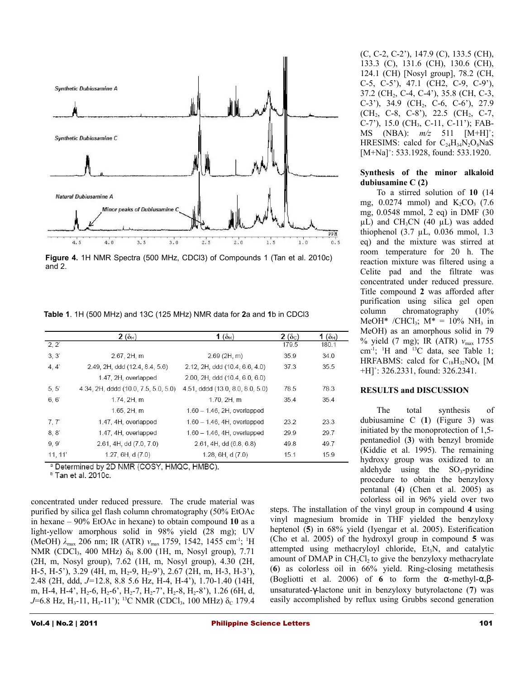

**Figure 4.** 1H NMR Spectra (500 MHz, CDCl3) of Compounds 1 (Tan et al. 2010c) and 2.

**Table 1**. 1H (500 MHz) and 13C (125 MHz) NMR data for **2**a and **1**b in CDCl3

|         | $2(\delta_{H})$                      | 1 $(\delta_H)$                   | $2(\delta_c)$ | 1 $(\delta_H)$ |
|---------|--------------------------------------|----------------------------------|---------------|----------------|
| 2, 2'   |                                      |                                  | 179.5         | 180.1          |
| 3, 3'   | 2.67, 2H, m                          | $2.69$ (2H, m)                   | 35.9          | 34.0           |
| 4, 4'   | 2.49, 2H, ddd (12.4, 8.4, 5.6)       | 2.12, 2H, ddd (10.4, 6.6, 4.0)   | 37.3          | 35.5           |
|         | 1.47, 2H, overlapped                 | 2.00, 2H, ddd (10.4, 6.0, 6.0)   |               |                |
| 5, 5    | 4.34, 2H, dddd (10.0, 7.5, 5.0, 5.0) | 4.51, dddd (13.0, 8.0, 8.0, 5.0) | 78.5          | 78.3           |
| 6, 6'   | 1.74, 2H, m                          | 1.70, 2H, m                      | 35.4          | 35.4           |
|         | 1.65, 2H, m                          | $1.60 - 1.46$ , 2H, overlapped   |               |                |
| 7, 7'   | 1.47, 4H, overlapped                 | $1.60 - 1.46$ , 4H, overlapped   | 23.2          | 23.3           |
| 8, 8'   | 1.47, 4H, overlapped                 | $1.60 - 1.46$ , 4H, overlapped   | 29.9          | 29.7           |
| 9,9'    | 2.61, 4H, dd (7.0, 7.0)              | 2.61, 4H, dd (6.8, 6.8)          | 49.8          | 49.7           |
| 11, 11' | 1.27, 6H, d(7.0)                     | 1.28, 6H, d(7.0)                 | 15.1          | 15.9           |

a Determined by 2D NMR (COSY, HMQC, HMBC).

<sup>b</sup> Tan et al. 2010c.

concentrated under reduced pressure. The crude material was purified by silica gel flash column chromatography (50% EtOAc in hexane – 90% EtOAc in hexane) to obtain compound **10** as a light-yellow amorphous solid in 98% yield (28 mg); UV (MeOH)  $\lambda_{\text{max}}$  206 nm; IR (ATR)  $v_{\text{max}}$  1759, 1542, 1455 cm<sup>-1</sup>; <sup>1</sup>H NMR (CDCl<sub>3</sub>, 400 MHz) δ<sub>H</sub> 8.00 (1H, m, Nosyl group), 7.71 (2H, m, Nosyl group), 7.62 (1H, m, Nosyl group), 4.30 (2H, H-5, H-5'), 3.29 (4H, m, H<sub>2</sub>-9, H<sub>2</sub>-9'), 2.67 (2H, m, H-3, H-3'), 2.48 (2H, ddd, *J=*12.8, 8.8 5.6 Hz, H-4, H-4'), 1.70-1.40 (14H, m, H-4, H-4',  $H_2$ -6,  $H_2$ -6',  $H_2$ -7',  $H_2$ -7',  $H_2$ -8,  $H_2$ -8'), 1.26 (6H, d, *J*=6.8 Hz, H<sub>3</sub>-11, H<sub>3</sub>-11'); <sup>13</sup>C NMR (CDCl<sub>3</sub>, 100 MHz) δ<sub>C</sub> 179.4

(C, C-2, C-2'), 147.9 (C), 133.5 (CH), 133.3 (C), 131.6 (CH), 130.6 (CH), 124.1 (CH) [Nosyl group], 78.2 (CH, C-5, C-5'), 47.1 (CH2, C-9, C-9'), 37.2 (CH<sub>2</sub>, C-4, C-4'), 35.8 (CH, C-3,  $C-3'$ ), 34.9 (CH<sub>2</sub>, C-6, C-6'), 27.9 (CH<sub>2</sub>, C-8, C-8'), 22.5 (CH<sub>2</sub>, C-7, C-7'), 15.0 (CH3, C-11, C-11'); FAB-MS (NBA):  $m/z$  511 [M+H]<sup>+</sup>; HRESIMS: calcd for  $C_{24}H_{34}N_2O_8NaS$ [M+Na]<sup>+</sup>: 533.1928, found: 533.1920.

## **Synthesis of the minor alkaloid dubiusamine C (2)**

To a stirred solution of **10** (14 mg,  $0.0274$  mmol) and  $K_2CO_3$  (7.6) mg, 0.0548 mmol, 2 eq) in DMF (30  $\mu$ L) and CH<sub>3</sub>CN (40  $\mu$ L) was added thiophenol (3.7 µL, 0.036 mmol, 1.3 eq) and the mixture was stirred at room temperature for 20 h. The reaction mixture was filtered using a Celite pad and the filtrate was concentrated under reduced pressure. Title compound **2** was afforded after purification using silica gel open column chromatography (10% MeOH\* /CHCl<sub>3</sub>;  $M^* = 10\% \text{ NH}_3$  in MeOH) as an amorphous solid in 79 % yield (7 mg); IR (ATR) *ν*max 1755 cm<sup>-1</sup>; <sup>1</sup>H and <sup>13</sup>C data, see Table 1; HRFABMS: calcd for  $C_{18}H_{32}NO_4$  [M +H]<sup>+</sup> : 326.2331, found: 326.2341.

#### **RESULTS and DISCUSSION**

The total synthesis of dubiusamine C (**1**) (Figure 3) was initiated by the monoprotection of 1,5 pentanediol (**3**) with benzyl bromide (Kiddie et al. 1995). The remaining hydroxy group was oxidized to an aldehyde using the  $SO_3$ -pyridine procedure to obtain the benzyloxy pentanal (**4**) (Chen et al. 2005) as colorless oil in 96% yield over two

steps. The installation of the vinyl group in compound **4** using vinyl magnesium bromide in THF yielded the benzyloxy heptenol (**5**) in 68% yield (Iyengar et al. 2005). Esterification (Cho et al. 2005) of the hydroxyl group in compound **5** was attempted using methacryloyl chloride,  $Et<sub>3</sub>N$ , and catalytic amount of DMAP in  $CH_2Cl_2$  to give the benzyloxy methacrylate (**6**) as colorless oil in 66% yield. Ring-closing metathesis (Bogliotti et al. 2006) of **6** to form the α-methyl-α,βunsaturated-γ-lactone unit in benzyloxy butyrolactone (**7**) was easily accomplished by reflux using Grubbs second generation